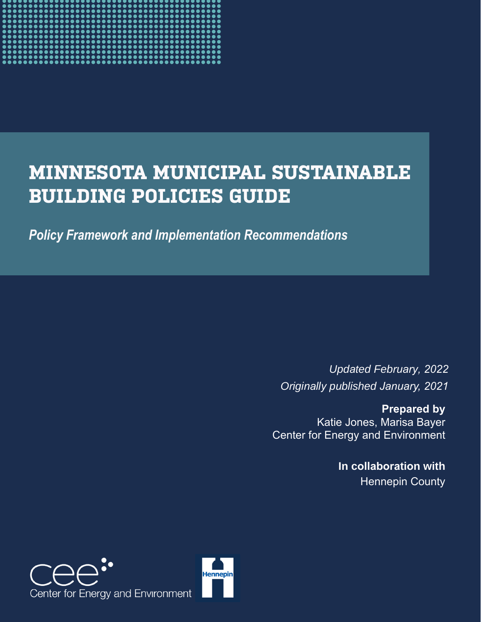

# **MINNESOTA MUNICIPAL SUSTAINABLE BUILDING POLICIES GUIDE**

*Policy Framework and Implementation Recommendations*

*Updated February, 2022 Originally published January, 2021*

**Prepared by**  Katie Jones, Marisa Bayer Center for Energy and Environment

> **In collaboration with** Hennepin County



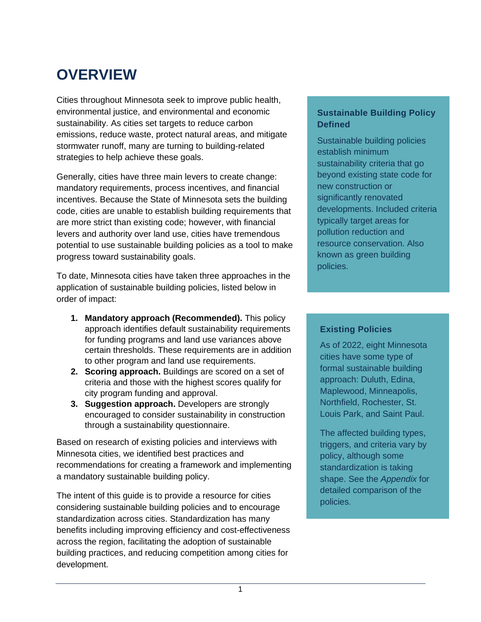# **OVERVIEW**

Cities throughout Minnesota seek to improve public health, environmental justice, and environmental and economic sustainability. As cities set targets to reduce carbon emissions, reduce waste, protect natural areas, and mitigate stormwater runoff, many are turning to building-related strategies to help achieve these goals.

Generally, cities have three main levers to create change: mandatory requirements, process incentives, and financial incentives. Because the State of Minnesota sets the building code, cities are unable to establish building requirements that are more strict than existing code; however, with financial levers and authority over land use, cities have tremendous potential to use sustainable building policies as a tool to make progress toward sustainability goals.

To date, Minnesota cities have taken three approaches in the application of sustainable building policies, listed below in order of impact:

- **1. Mandatory approach (Recommended).** This policy approach identifies default sustainability requirements for funding programs and land use variances above certain thresholds. These requirements are in addition to other program and land use requirements.
- **2. Scoring approach.** Buildings are scored on a set of criteria and those with the highest scores qualify for city program funding and approval.
- **3. Suggestion approach.** Developers are strongly encouraged to consider sustainability in construction through a sustainability questionnaire.

Based on research of existing policies and interviews with Minnesota cities, we identified best practices and recommendations for creating a framework and implementing a mandatory sustainable building policy.

The intent of this guide is to provide a resource for cities considering sustainable building policies and to encourage standardization across cities. Standardization has many benefits including improving efficiency and cost-effectiveness across the region, facilitating the adoption of sustainable building practices, and reducing competition among cities for development.

#### **Sustainable Building Policy Defined**

Sustainable building policies establish minimum sustainability criteria that go beyond existing state code for new construction or significantly renovated developments. Included criteria typically target areas for pollution reduction and resource conservation. Also known as green building policies.

#### **Existing Policies**

As of 2022, eight Minnesota cities have some type of formal sustainable building approach: Duluth, Edina, Maplewood, Minneapolis, Northfield, Rochester, St. Louis Park, and Saint Paul.

The affected building types, triggers, and criteria vary by policy, although some standardization is taking shape. See the *Appendix* for detailed comparison of the policies.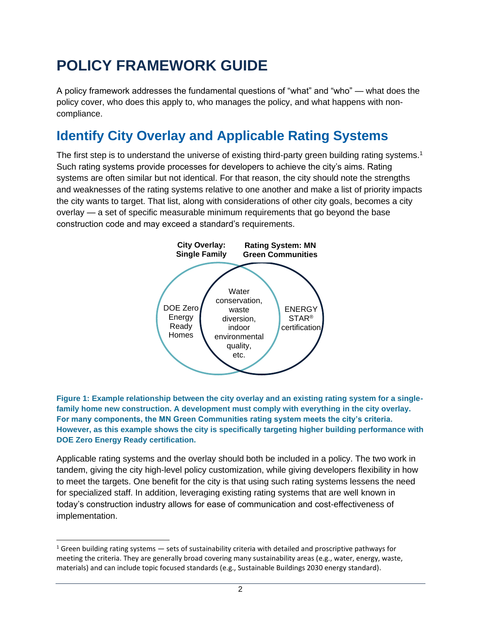# **POLICY FRAMEWORK GUIDE**

A policy framework addresses the fundamental questions of "what" and "who" — what does the policy cover, who does this apply to, who manages the policy, and what happens with noncompliance.

## **Identify City Overlay and Applicable Rating Systems**

The first step is to understand the universe of existing third-party green building rating systems.<sup>1</sup> Such rating systems provide processes for developers to achieve the city's aims. Rating systems are often similar but not identical. For that reason, the city should note the strengths and weaknesses of the rating systems relative to one another and make a list of priority impacts the city wants to target. That list, along with considerations of other city goals, becomes a city overlay — a set of specific measurable minimum requirements that go beyond the base construction code and may exceed a standard's requirements.



**Figure 1: Example relationship between the city overlay and an existing rating system for a singlefamily home new construction. A development must comply with everything in the city overlay. For many components, the MN Green Communities rating system meets the city's criteria. However, as this example shows the city is specifically targeting higher building performance with DOE Zero Energy Ready certification.**

Applicable rating systems and the overlay should both be included in a policy. The two work in tandem, giving the city high-level policy customization, while giving developers flexibility in how to meet the targets. One benefit for the city is that using such rating systems lessens the need for specialized staff. In addition, leveraging existing rating systems that are well known in today's construction industry allows for ease of communication and cost-effectiveness of implementation.

<sup>&</sup>lt;sup>1</sup> Green building rating systems  $-$  sets of sustainability criteria with detailed and proscriptive pathways for meeting the criteria. They are generally broad covering many sustainability areas (e.g., water, energy, waste, materials) and can include topic focused standards (e.g., Sustainable Buildings 2030 energy standard).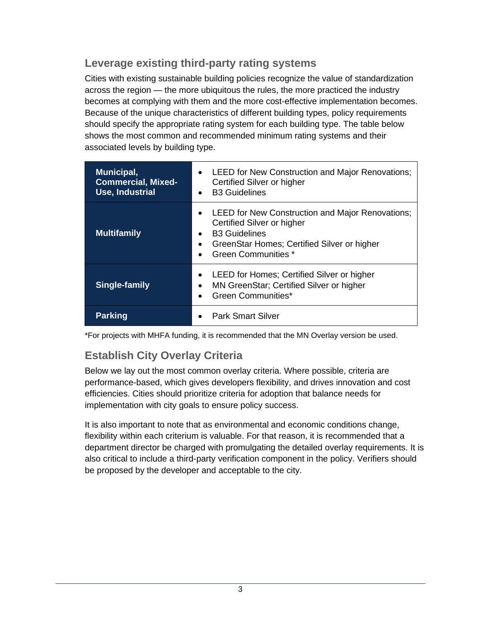### **Leverage existing third-party rating systems**

Cities with existing sustainable building policies recognize the value of standardization across the region — the more ubiquitous the rules, the more practiced the industry becomes at complying with them and the more cost-effective implementation becomes. Because of the unique characteristics of different building types, policy requirements should specify the appropriate rating system for each building type. The table below shows the most common and recommended minimum rating systems and their associated levels by building type.

| Municipal,<br><b>Commercial, Mixed-</b><br>Use, Industrial | LEED for New Construction and Major Renovations;<br>$\bullet$<br>Certified Silver or higher<br><b>B3 Guidelines</b><br>$\bullet$                                                                                   |  |  |  |  |  |  |
|------------------------------------------------------------|--------------------------------------------------------------------------------------------------------------------------------------------------------------------------------------------------------------------|--|--|--|--|--|--|
| <b>Multifamily</b>                                         | LEED for New Construction and Major Renovations;<br>$\bullet$<br>Certified Silver or higher<br><b>B3 Guidelines</b><br>٠<br>GreenStar Homes; Certified Silver or higher<br>$\bullet$<br><b>Green Communities *</b> |  |  |  |  |  |  |
| Single-family                                              | LEED for Homes; Certified Silver or higher<br>$\bullet$<br>MN GreenStar; Certified Silver or higher<br>٠<br><b>Green Communities*</b><br>$\bullet$                                                                 |  |  |  |  |  |  |
| <b>Parking</b>                                             | <b>Park Smart Silver</b>                                                                                                                                                                                           |  |  |  |  |  |  |

\*For projects with MHFA funding, it is recommended that the MN Overlay version be used.

### **Establish City Overlay Criteria**

Below we lay out the most common overlay criteria. Where possible, criteria are performance-based, which gives developers flexibility, and drives innovation and cost efficiencies. Cities should prioritize criteria for adoption that balance needs for implementation with city goals to ensure policy success.

It is also important to note that as environmental and economic conditions change, flexibility within each criterium is valuable. For that reason, it is recommended that a department director be charged with promulgating the detailed overlay requirements. It is also critical to include a third-party verification component in the policy. Verifiers should be proposed by the developer and acceptable to the city.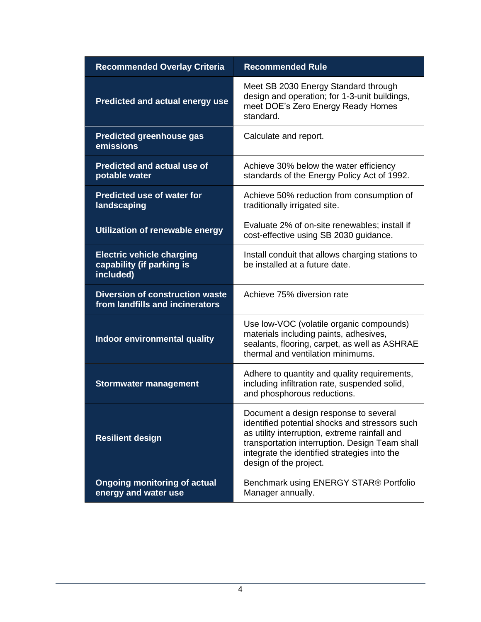| <b>Recommended Overlay Criteria</b>                                        | <b>Recommended Rule</b>                                                                                                                                                                                                                                              |  |  |  |  |  |  |  |
|----------------------------------------------------------------------------|----------------------------------------------------------------------------------------------------------------------------------------------------------------------------------------------------------------------------------------------------------------------|--|--|--|--|--|--|--|
| <b>Predicted and actual energy use</b>                                     | Meet SB 2030 Energy Standard through<br>design and operation; for 1-3-unit buildings,<br>meet DOE's Zero Energy Ready Homes<br>standard.                                                                                                                             |  |  |  |  |  |  |  |
| <b>Predicted greenhouse gas</b><br>emissions                               | Calculate and report.                                                                                                                                                                                                                                                |  |  |  |  |  |  |  |
| <b>Predicted and actual use of</b><br>potable water                        | Achieve 30% below the water efficiency<br>standards of the Energy Policy Act of 1992.                                                                                                                                                                                |  |  |  |  |  |  |  |
| <b>Predicted use of water for</b><br>landscaping                           | Achieve 50% reduction from consumption of<br>traditionally irrigated site.                                                                                                                                                                                           |  |  |  |  |  |  |  |
| Utilization of renewable energy                                            | Evaluate 2% of on-site renewables; install if<br>cost-effective using SB 2030 guidance.                                                                                                                                                                              |  |  |  |  |  |  |  |
| <b>Electric vehicle charging</b><br>capability (if parking is<br>included) | Install conduit that allows charging stations to<br>be installed at a future date.                                                                                                                                                                                   |  |  |  |  |  |  |  |
| <b>Diversion of construction waste</b><br>from landfills and incinerators  | Achieve 75% diversion rate                                                                                                                                                                                                                                           |  |  |  |  |  |  |  |
| Indoor environmental quality                                               | Use low-VOC (volatile organic compounds)<br>materials including paints, adhesives,<br>sealants, flooring, carpet, as well as ASHRAE<br>thermal and ventilation minimums.                                                                                             |  |  |  |  |  |  |  |
| <b>Stormwater management</b>                                               | Adhere to quantity and quality requirements,<br>including infiltration rate, suspended solid,<br>and phosphorous reductions.                                                                                                                                         |  |  |  |  |  |  |  |
| <b>Resilient design</b>                                                    | Document a design response to several<br>identified potential shocks and stressors such<br>as utility interruption, extreme rainfall and<br>transportation interruption. Design Team shall<br>integrate the identified strategies into the<br>design of the project. |  |  |  |  |  |  |  |
| <b>Ongoing monitoring of actual</b><br>energy and water use                | Benchmark using ENERGY STAR® Portfolio<br>Manager annually.                                                                                                                                                                                                          |  |  |  |  |  |  |  |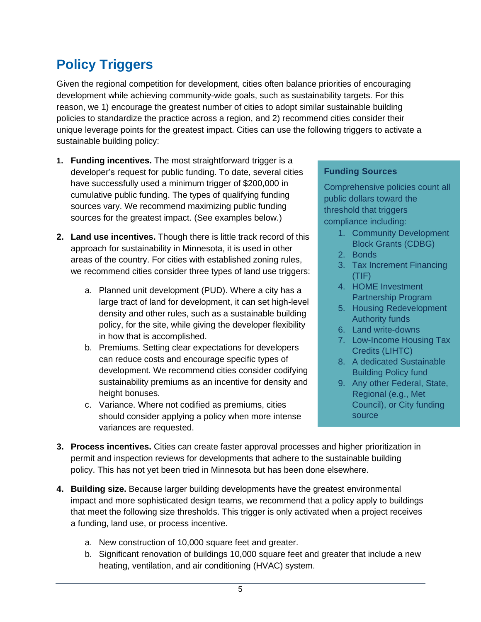## **Policy Triggers**

Given the regional competition for development, cities often balance priorities of encouraging development while achieving community-wide goals, such as sustainability targets. For this reason, we 1) encourage the greatest number of cities to adopt similar sustainable building policies to standardize the practice across a region, and 2) recommend cities consider their unique leverage points for the greatest impact. Cities can use the following triggers to activate a sustainable building policy:

- **1. Funding incentives.** The most straightforward trigger is a developer's request for public funding. To date, several cities have successfully used a minimum trigger of \$200,000 in cumulative public funding. The types of qualifying funding sources vary. We recommend maximizing public funding sources for the greatest impact. (See examples below.)
- **2. Land use incentives.** Though there is little track record of this approach for sustainability in Minnesota, it is used in other areas of the country. For cities with established zoning rules, we recommend cities consider three types of land use triggers:
	- a. Planned unit development (PUD). Where a city has a large tract of land for development, it can set high-level density and other rules, such as a sustainable building policy, for the site, while giving the developer flexibility in how that is accomplished.
	- b. Premiums. Setting clear expectations for developers can reduce costs and encourage specific types of development. We recommend cities consider codifying sustainability premiums as an incentive for density and height bonuses.
	- c. Variance. Where not codified as premiums, cities should consider applying a policy when more intense variances are requested.

#### **Funding Sources**

Comprehensive policies count all public dollars toward the threshold that triggers compliance including:

- 1. Community Development Block Grants (CDBG)
- 2. Bonds
- 3. Tax Increment Financing (TIF)
- 4. HOME Investment Partnership Program
- 5. Housing Redevelopment Authority funds
- 6. Land write-downs
- 7. Low-Income Housing Tax Credits (LIHTC)
- 8. A dedicated Sustainable Building Policy fund
- 9. Any other Federal, State, Regional (e.g., Met Council), or City funding source
- **3. Process incentives.** Cities can create faster approval processes and higher prioritization in permit and inspection reviews for developments that adhere to the sustainable building policy. This has not yet been tried in Minnesota but has been done elsewhere.
- **4. Building size.** Because larger building developments have the greatest environmental impact and more sophisticated design teams, we recommend that a policy apply to buildings that meet the following size thresholds. This trigger is only activated when a project receives a funding, land use, or process incentive.
	- a. New construction of 10,000 square feet and greater.
	- b. Significant renovation of buildings 10,000 square feet and greater that include a new heating, ventilation, and air conditioning (HVAC) system.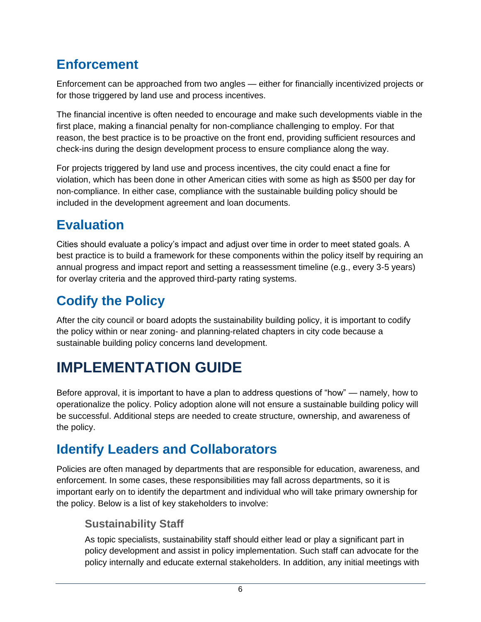## **Enforcement**

Enforcement can be approached from two angles — either for financially incentivized projects or for those triggered by land use and process incentives.

The financial incentive is often needed to encourage and make such developments viable in the first place, making a financial penalty for non-compliance challenging to employ. For that reason, the best practice is to be proactive on the front end, providing sufficient resources and check-ins during the design development process to ensure compliance along the way.

For projects triggered by land use and process incentives, the city could enact a fine for violation, which has been done in other American cities with some as high as \$500 per day for non-compliance. In either case, compliance with the sustainable building policy should be included in the development agreement and loan documents.

## **Evaluation**

Cities should evaluate a policy's impact and adjust over time in order to meet stated goals. A best practice is to build a framework for these components within the policy itself by requiring an annual progress and impact report and setting a reassessment timeline (e.g., every 3-5 years) for overlay criteria and the approved third-party rating systems.

# **Codify the Policy**

After the city council or board adopts the sustainability building policy, it is important to codify the policy within or near zoning- and planning-related chapters in city code because a sustainable building policy concerns land development.

# **IMPLEMENTATION GUIDE**

Before approval, it is important to have a plan to address questions of "how" — namely, how to operationalize the policy. Policy adoption alone will not ensure a sustainable building policy will be successful. Additional steps are needed to create structure, ownership, and awareness of the policy.

## **Identify Leaders and Collaborators**

Policies are often managed by departments that are responsible for education, awareness, and enforcement. In some cases, these responsibilities may fall across departments, so it is important early on to identify the department and individual who will take primary ownership for the policy. Below is a list of key stakeholders to involve:

### **Sustainability Staff**

As topic specialists, sustainability staff should either lead or play a significant part in policy development and assist in policy implementation. Such staff can advocate for the policy internally and educate external stakeholders. In addition, any initial meetings with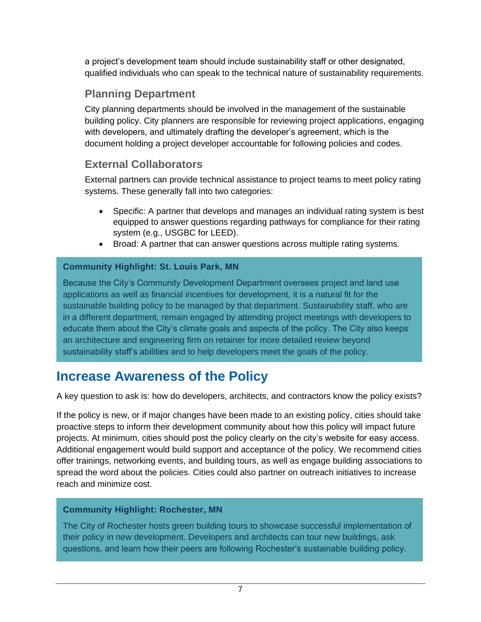a project's development team should include sustainability staff or other designated, qualified individuals who can speak to the technical nature of sustainability requirements.

### **Planning Department**

City planning departments should be involved in the management of the sustainable building policy. City planners are responsible for reviewing project applications, engaging with developers, and ultimately drafting the developer's agreement, which is the document holding a project developer accountable for following policies and codes.

### **External Collaborators**

External partners can provide technical assistance to project teams to meet policy rating systems. These generally fall into two categories:

- Specific: A partner that develops and manages an individual rating system is best equipped to answer questions regarding pathways for compliance for their rating system (e.g., USGBC for LEED).
- Broad: A partner that can answer questions across multiple rating systems.

#### **Community Highlight: St. Louis Park, MN**

Because the City's Community Development Department oversees project and land use applications as well as financial incentives for development, it is a natural fit for the sustainable building policy to be managed by that department. Sustainability staff, who are in a different department, remain engaged by attending project meetings with developers to educate them about the City's climate goals and aspects of the policy. The City also keeps an architecture and engineering firm on retainer for more detailed review beyond sustainability staff's abilities and to help developers meet the goals of the policy.

### **Increase Awareness of the Policy**

A key question to ask is: how do developers, architects, and contractors know the policy exists?

If the policy is new, or if major changes have been made to an existing policy, cities should take proactive steps to inform their development community about how this policy will impact future projects. At minimum, cities should post the policy clearly on the city's website for easy access. Additional engagement would build support and acceptance of the policy. We recommend cities offer trainings, networking events, and building tours, as well as engage building associations to spread the word about the policies. Cities could also partner on outreach initiatives to increase reach and minimize cost.

#### **Community Highlight: Rochester, MN**

The City of Rochester hosts green building tours to showcase successful implementation of their policy in new development. Developers and architects can tour new buildings, ask questions, and learn how their peers are following Rochester's sustainable building policy.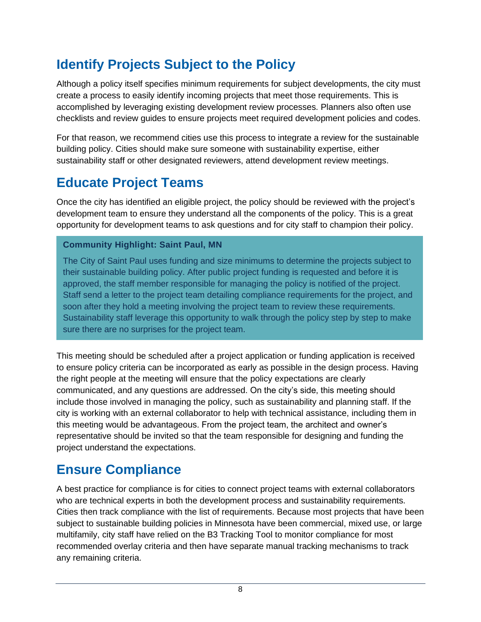## **Identify Projects Subject to the Policy**

Although a policy itself specifies minimum requirements for subject developments, the city must create a process to easily identify incoming projects that meet those requirements. This is accomplished by leveraging existing development review processes. Planners also often use checklists and review guides to ensure projects meet required development policies and codes.

For that reason, we recommend cities use this process to integrate a review for the sustainable building policy. Cities should make sure someone with sustainability expertise, either sustainability staff or other designated reviewers, attend development review meetings.

## **Educate Project Teams**

Once the city has identified an eligible project, the policy should be reviewed with the project's development team to ensure they understand all the components of the policy. This is a great opportunity for development teams to ask questions and for city staff to champion their policy.

### **Community Highlight: Saint Paul, MN**

The City of Saint Paul uses funding and size minimums to determine the projects subject to their sustainable building policy. After public project funding is requested and before it is approved, the staff member responsible for managing the policy is notified of the project. Staff send a letter to the project team detailing compliance requirements for the project, and soon after they hold a meeting involving the project team to review these requirements. Sustainability staff leverage this opportunity to walk through the policy step by step to make sure there are no surprises for the project team.

This meeting should be scheduled after a project application or funding application is received to ensure policy criteria can be incorporated as early as possible in the design process. Having the right people at the meeting will ensure that the policy expectations are clearly communicated, and any questions are addressed. On the city's side, this meeting should include those involved in managing the policy, such as sustainability and planning staff. If the city is working with an external collaborator to help with technical assistance, including them in this meeting would be advantageous. From the project team, the architect and owner's representative should be invited so that the team responsible for designing and funding the project understand the expectations.

### **Ensure Compliance**

A best practice for compliance is for cities to connect project teams with external collaborators who are technical experts in both the development process and sustainability requirements. Cities then track compliance with the list of requirements. Because most projects that have been subject to sustainable building policies in Minnesota have been commercial, mixed use, or large multifamily, city staff have relied on the B3 Tracking Tool to monitor compliance for most recommended overlay criteria and then have separate manual tracking mechanisms to track any remaining criteria.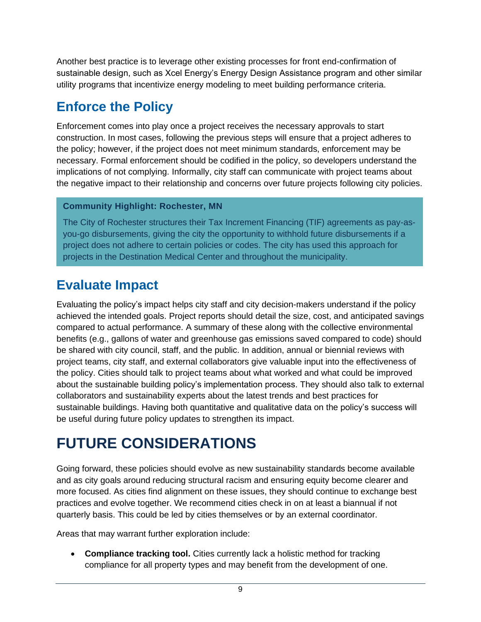Another best practice is to leverage other existing processes for front end-confirmation of sustainable design, such as Xcel Energy's Energy Design Assistance program and other similar utility programs that incentivize energy modeling to meet building performance criteria.

## **Enforce the Policy**

Enforcement comes into play once a project receives the necessary approvals to start construction. In most cases, following the previous steps will ensure that a project adheres to the policy; however, if the project does not meet minimum standards, enforcement may be necessary. Formal enforcement should be codified in the policy, so developers understand the implications of not complying. Informally, city staff can communicate with project teams about the negative impact to their relationship and concerns over future projects following city policies.

### **Community Highlight: Rochester, MN**

The City of Rochester structures their Tax Increment Financing (TIF) agreements as pay-asyou-go disbursements, giving the city the opportunity to withhold future disbursements if a project does not adhere to certain policies or codes. The city has used this approach for projects in the Destination Medical Center and throughout the municipality.

## **Evaluate Impact**

Evaluating the policy's impact helps city staff and city decision-makers understand if the policy achieved the intended goals. Project reports should detail the size, cost, and anticipated savings compared to actual performance. A summary of these along with the collective environmental benefits (e.g., gallons of water and greenhouse gas emissions saved compared to code) should be shared with city council, staff, and the public. In addition, annual or biennial reviews with project teams, city staff, and external collaborators give valuable input into the effectiveness of the policy. Cities should talk to project teams about what worked and what could be improved about the sustainable building policy's implementation process. They should also talk to external collaborators and sustainability experts about the latest trends and best practices for sustainable buildings. Having both quantitative and qualitative data on the policy's success will be useful during future policy updates to strengthen its impact.

# **FUTURE CONSIDERATIONS**

Going forward, these policies should evolve as new sustainability standards become available and as city goals around reducing structural racism and ensuring equity become clearer and more focused. As cities find alignment on these issues, they should continue to exchange best practices and evolve together. We recommend cities check in on at least a biannual if not quarterly basis. This could be led by cities themselves or by an external coordinator.

Areas that may warrant further exploration include:

• **Compliance tracking tool.** Cities currently lack a holistic method for tracking compliance for all property types and may benefit from the development of one.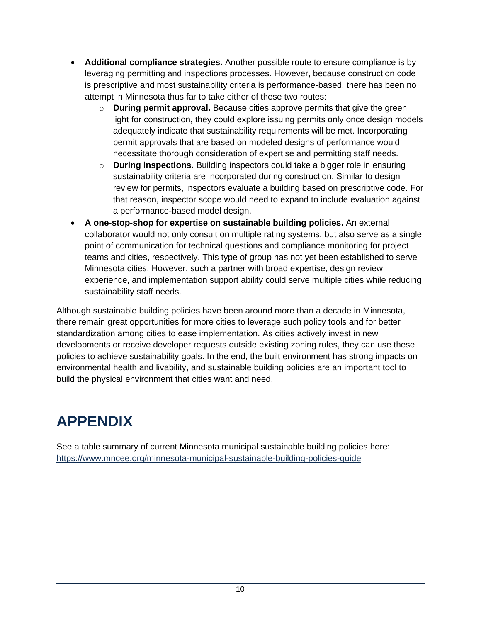- **Additional compliance strategies.** Another possible route to ensure compliance is by leveraging permitting and inspections processes. However, because construction code is prescriptive and most sustainability criteria is performance-based, there has been no attempt in Minnesota thus far to take either of these two routes:
	- o **During permit approval.** Because cities approve permits that give the green light for construction, they could explore issuing permits only once design models adequately indicate that sustainability requirements will be met. Incorporating permit approvals that are based on modeled designs of performance would necessitate thorough consideration of expertise and permitting staff needs.
	- o **During inspections.** Building inspectors could take a bigger role in ensuring sustainability criteria are incorporated during construction. Similar to design review for permits, inspectors evaluate a building based on prescriptive code. For that reason, inspector scope would need to expand to include evaluation against a performance-based model design.
- **A one-stop-shop for expertise on sustainable building policies.** An external collaborator would not only consult on multiple rating systems, but also serve as a single point of communication for technical questions and compliance monitoring for project teams and cities, respectively. This type of group has not yet been established to serve Minnesota cities. However, such a partner with broad expertise, design review experience, and implementation support ability could serve multiple cities while reducing sustainability staff needs.

Although sustainable building policies have been around more than a decade in Minnesota, there remain great opportunities for more cities to leverage such policy tools and for better standardization among cities to ease implementation. As cities actively invest in new developments or receive developer requests outside existing zoning rules, they can use these policies to achieve sustainability goals. In the end, the built environment has strong impacts on environmental health and livability, and sustainable building policies are an important tool to build the physical environment that cities want and need.

# **APPENDIX**

See a table summary of current Minnesota municipal sustainable building policies here: <https://www.mncee.org/minnesota-municipal-sustainable-building-policies-guide>